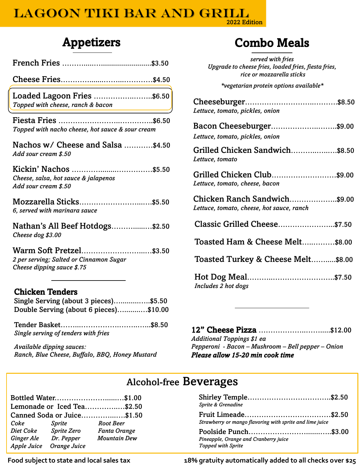#### Lagoon Tiki Bar and Grill 2022 Edition

## Appetizers

| Loaded Lagoon Fries \$6.50<br>Topped with cheese, ranch & bacon                                   |
|---------------------------------------------------------------------------------------------------|
| Topped with nacho cheese, hot sauce & sour cream                                                  |
| Nachos w/ Cheese and Salsa \$4.50<br>Add sour cream \$.50                                         |
| Cheese, salsa, hot sauce & jalapenos<br>Add sour cream \$.50                                      |
| Mozzarella Sticks\$5.50<br>6, served with marinara sauce                                          |
| Nathan's All Beef Hotdogs\$2.50<br>Cheese dog \$3.00                                              |
| Warm Soft Pretzel\$3.50<br>2 per serving; Salted or Cinnamon Sugar<br>Cheese dipping sauce $$.75$ |
| <b>Chicken Tenders</b>                                                                            |

| Single Serving (about 3 pieces)\$5.50  |  |
|----------------------------------------|--|
| Double Serving (about 6 pieces)\$10.00 |  |

Tender Basket……...…………….……..…...\$8.50 *Single serving of tenders with fries*

*Available dipping sauces: Ranch, Blue Cheese, Buffalo, BBQ, Honey Mustard*

## Combo Meals

*served with fries Upgrade to cheese fries, loaded fries, fiesta fries, rice or mozzarella sticks*

*\*vegetarian protein options available\**

| Lettuce, tomato, pickles, onion                                           |  |
|---------------------------------------------------------------------------|--|
| Bacon Cheeseburger\$9.00<br>Lettuce, tomato, pickles, onion               |  |
| Grilled Chicken Sandwich\$8.50<br>Lettuce, tomato                         |  |
| Grilled Chicken Club\$9.00<br>Lettuce, tomato, cheese, bacon              |  |
| Chicken Ranch Sandwich\$9.00<br>Lettuce, tomato, cheese, hot sauce, ranch |  |
| Classic Grilled Cheese\$7.50                                              |  |
| Toasted Ham & Cheese Melt\$8.00                                           |  |
| Toasted Turkey & Cheese Melt\$8.00                                        |  |
| Includes 2 hot dogs                                                       |  |

| 12" Cheese Pizza \$12.00                           |  |
|----------------------------------------------------|--|
| Additional Toppings \$1 ea                         |  |
| Pepperoni - Bacon – Mushroom – Bell pepper – Onion |  |
| Please allow 15-20 min cook time                   |  |

#### Alcohol-free Beverages

|             |                    | Bottled Water\$1.00        |
|-------------|--------------------|----------------------------|
|             |                    | Lemonade or Iced Tea\$2.50 |
|             |                    | Canned Soda or Juice\$1.50 |
| Coke        | <b>Sprite</b>      | <b>Root Beer</b>           |
| Diet Coke   | <b>Sprite Zero</b> | <b>Fanta Orange</b>        |
| Ginger Ale  | Dr. Pepper         | <b>Mountain Dew</b>        |
| Apple Juice | Orange Juice       |                            |

| Sprite & Grenadine                                       |  |
|----------------------------------------------------------|--|
| Strawberry or mango flavoring with sprite and lime juice |  |
|                                                          |  |
| Pineapple, Orange and Cranberry juice                    |  |
| <b>Topped with Sprite</b>                                |  |

**Food subject to state and local sales tax 18% gratuity automatically added to all checks over \$25**